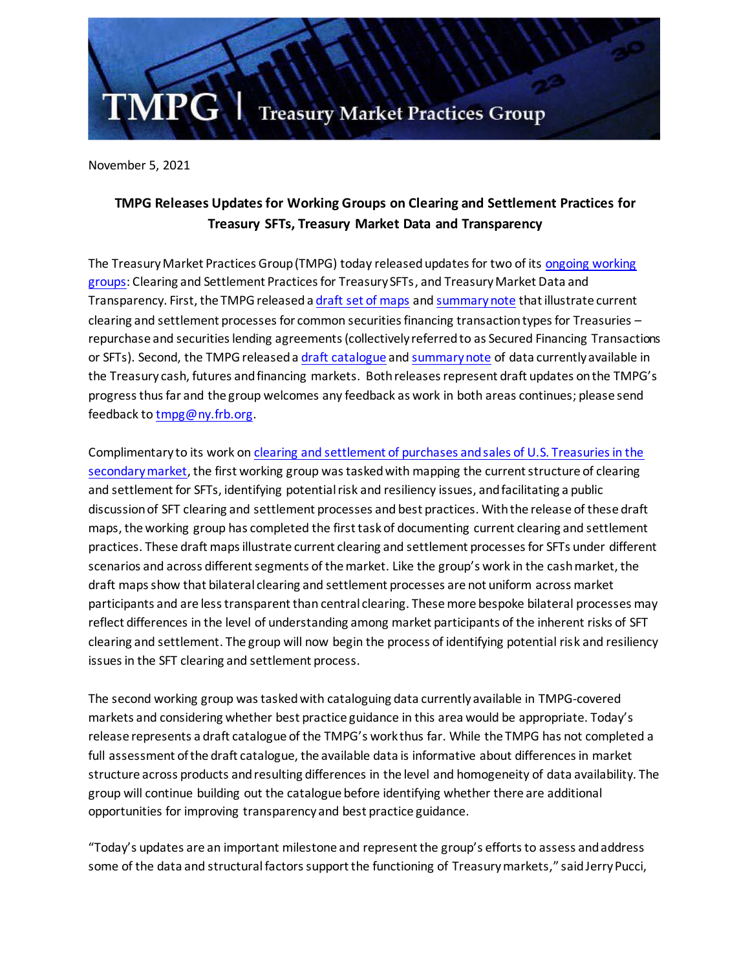

November 5, 2021

## **TMPG Releases Updates for Working Groups on Clearing and Settlement Practices for Treasury SFTs, Treasury Market Data and Transparency**

The Treasury Market Practices Group (TMPG) today released updates for two of it[s ongoing working](https://www.newyorkfed.org/medialibrary/Microsites/tmpg/files/november-2020-tmpg-meeting-minutes.pdf)  [groups:](https://www.newyorkfed.org/medialibrary/Microsites/tmpg/files/november-2020-tmpg-meeting-minutes.pdf) Clearing and Settlement Practices for Treasury SFTs, and TreasuryMarket Data and Transparency. First, the TMPG released [a draft set of maps](https://www.newyorkfed.org/medialibrary/Microsites/tmpg/files/CSP_SFT_Draft_Maps.pdf) an[d summarynote](https://www.newyorkfed.org/medialibrary/Microsites/tmpg/files/CSP_SFT_Note.pdf) that illustrate current clearing and settlement processes for common securities financing transaction types for Treasuries – repurchase and securities lending agreements (collectively referred to as Secured Financing Transactions or SFTs). Second, the TMPG released a [draft catalogue](https://www.newyorkfed.org/medialibrary/Microsites/tmpg/files/DT_Draft_Catalogues.pdf) an[d summary note](https://www.newyorkfed.org/medialibrary/Microsites/tmpg/files/DT_Note.pdf) of data currently available in the Treasury cash, futures and financing markets. Both releases represent draft updates on the TMPG's progress thus far and the group welcomes any feedback as work in both areas continues; please send feedback t[o tmpg@ny.frb.org.](mailto:tmpg@ny.frb.org)

Complimentary to its work o[n clearing and settlement of purchases and sales of U.S. Treasuries in the](https://www.newyorkfed.org/medialibrary/Microsites/tmpg/files/CS_FinalPaper_071119.pdf)  [secondary market,](https://www.newyorkfed.org/medialibrary/Microsites/tmpg/files/CS_FinalPaper_071119.pdf) the first working group was tasked with mapping the current structure of clearing and settlement for SFTs, identifying potential risk and resiliency issues, and facilitating a public discussion of SFT clearing and settlement processes and best practices. With the release of these draft maps, the working group has completed the first task of documenting current clearing and settlement practices. These draft maps illustrate current clearing and settlement processes for SFTs under different scenarios and across different segments of the market. Like the group's work in the cash market, the draft maps show that bilateral clearing and settlement processes are not uniform across market participants and are less transparent than central clearing. These more bespoke bilateral processes may reflect differences in the level of understanding among market participants of the inherent risks of SFT clearing and settlement. The group will now begin the process of identifying potential risk and resiliency issues in the SFT clearing and settlement process.

The second working group was tasked with cataloguing data currently available in TMPG-covered markets and considering whether best practice guidance in this area would be appropriate. Today's release represents a draft catalogue of the TMPG's work thus far. While the TMPG has not completed a full assessment of the draft catalogue, the available data is informative about differences in market structure across products andresulting differences in the level and homogeneity of data availability. The group will continue building out the catalogue before identifying whether there are additional opportunities for improving transparency and best practice guidance.

"Today's updates are an important milestone and represent the group's efforts to assess and address some of the data and structural factors support the functioning of Treasury markets," said Jerry Pucci,